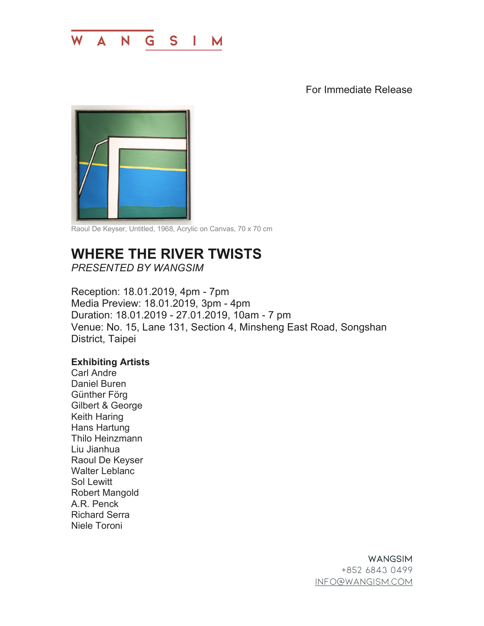

For Immediate Release



Raoul De Keyser, Untitled, 1968, Acrylic on Canvas, 70 x 70 cm

## **WHERE THE RIVER TWISTS**

*PRESENTED BY WANGSIM*

Reception: 18.01.2019, 4pm - 7pm Media Preview: 18.01.2019, 3pm - 4pm Duration: 18.01.2019 - 27.01.2019, 10am - 7 pm Venue: No. 15, Lane 131, Section 4, Minsheng East Road, Songshan District, Taipei

## **Exhibiting Artists**

Carl Andre Daniel Buren Günther Förg Gilbert & George Keith Haring Hans Hartung Thilo Heinzmann Liu Jianhua Raoul De Keyser Walter Leblanc Sol Lewitt Robert Mangold A.R. Penck Richard Serra Niele Toroni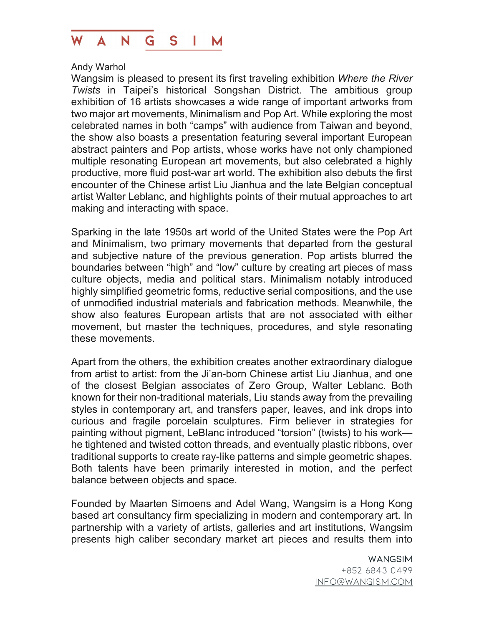

## Andy Warhol

Wangsim is pleased to present its first traveling exhibition *Where the River Twists* in Taipei's historical Songshan District. The ambitious group exhibition of 16 artists showcases a wide range of important artworks from two major art movements, Minimalism and Pop Art. While exploring the most celebrated names in both "camps" with audience from Taiwan and beyond, the show also boasts a presentation featuring several important European abstract painters and Pop artists, whose works have not only championed multiple resonating European art movements, but also celebrated a highly productive, more fluid post-war art world. The exhibition also debuts the first encounter of the Chinese artist Liu Jianhua and the late Belgian conceptual artist Walter Leblanc, and highlights points of their mutual approaches to art making and interacting with space.

Sparking in the late 1950s art world of the United States were the Pop Art and Minimalism, two primary movements that departed from the gestural and subjective nature of the previous generation. Pop artists blurred the boundaries between "high" and "low" culture by creating art pieces of mass culture objects, media and political stars. Minimalism notably introduced highly simplified geometric forms, reductive serial compositions, and the use of unmodified industrial materials and fabrication methods. Meanwhile, the show also features European artists that are not associated with either movement, but master the techniques, procedures, and style resonating these movements.

Apart from the others, the exhibition creates another extraordinary dialogue from artist to artist: from the Ji'an-born Chinese artist Liu Jianhua, and one of the closest Belgian associates of Zero Group, Walter Leblanc. Both known for their non-traditional materials, Liu stands away from the prevailing styles in contemporary art, and transfers paper, leaves, and ink drops into curious and fragile porcelain sculptures. Firm believer in strategies for painting without pigment, LeBlanc introduced "torsion" (twists) to his work he tightened and twisted cotton threads, and eventually plastic ribbons, over traditional supports to create ray-like patterns and simple geometric shapes. Both talents have been primarily interested in motion, and the perfect balance between objects and space.

Founded by Maarten Simoens and Adel Wang, Wangsim is a Hong Kong based art consultancy firm specializing in modern and contemporary art. In partnership with a variety of artists, galleries and art institutions, Wangsim presents high caliber secondary market art pieces and results them into

> WANGSIM +852 6843 0499 info@wangism.com